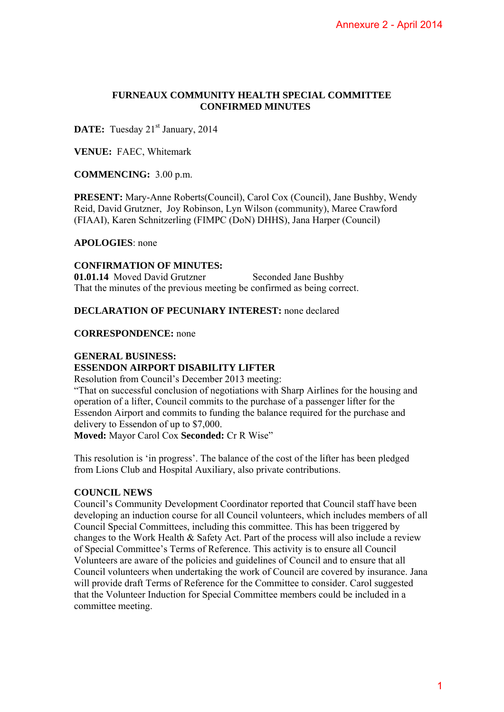### **FURNEAUX COMMUNITY HEALTH SPECIAL COMMITTEE CONFIRMED MINUTES**

**DATE:** Tuesday 21<sup>st</sup> January, 2014

**VENUE:** FAEC, Whitemark

**COMMENCING:** 3.00 p.m.

**PRESENT:** Mary-Anne Roberts(Council), Carol Cox (Council), Jane Bushby, Wendy Reid, David Grutzner, Joy Robinson, Lyn Wilson (community), Maree Crawford (FIAAI), Karen Schnitzerling (FIMPC (DoN) DHHS), Jana Harper (Council)

**APOLOGIES**: none

### **CONFIRMATION OF MINUTES:**

**01.01.14** Moved David Grutzner Seconded Jane Bushby That the minutes of the previous meeting be confirmed as being correct.

### **DECLARATION OF PECUNIARY INTEREST:** none declared

### **CORRESPONDENCE:** none

### **GENERAL BUSINESS:**

# **ESSENDON AIRPORT DISABILITY LIFTER**

Resolution from Council's December 2013 meeting:

"That on successful conclusion of negotiations with Sharp Airlines for the housing and operation of a lifter, Council commits to the purchase of a passenger lifter for the Essendon Airport and commits to funding the balance required for the purchase and delivery to Essendon of up to \$7,000.

**Moved:** Mayor Carol Cox **Seconded:** Cr R Wise"

This resolution is 'in progress'. The balance of the cost of the lifter has been pledged from Lions Club and Hospital Auxiliary, also private contributions.

### **COUNCIL NEWS**

Council's Community Development Coordinator reported that Council staff have been developing an induction course for all Council volunteers, which includes members of all Council Special Committees, including this committee. This has been triggered by changes to the Work Health & Safety Act. Part of the process will also include a review of Special Committee's Terms of Reference. This activity is to ensure all Council Volunteers are aware of the policies and guidelines of Council and to ensure that all Council volunteers when undertaking the work of Council are covered by insurance. Jana will provide draft Terms of Reference for the Committee to consider. Carol suggested that the Volunteer Induction for Special Committee members could be included in a committee meeting. Annexure 2 - April 20141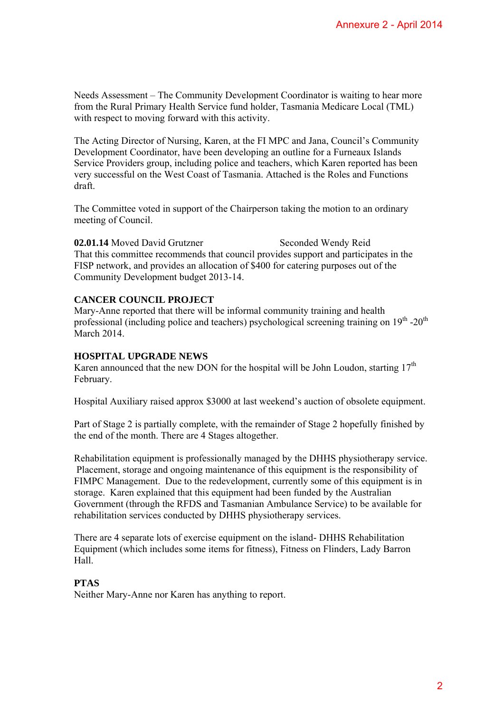Needs Assessment – The Community Development Coordinator is waiting to hear more from the Rural Primary Health Service fund holder, Tasmania Medicare Local (TML) with respect to moving forward with this activity.

The Acting Director of Nursing, Karen, at the FI MPC and Jana, Council's Community Development Coordinator, have been developing an outline for a Furneaux Islands Service Providers group, including police and teachers, which Karen reported has been very successful on the West Coast of Tasmania. Attached is the Roles and Functions draft.

The Committee voted in support of the Chairperson taking the motion to an ordinary meeting of Council.

02.01.14 Moved David Grutzner Seconded Wendy Reid That this committee recommends that council provides support and participates in the FISP network, and provides an allocation of \$400 for catering purposes out of the Community Development budget 2013-14.

## **CANCER COUNCIL PROJECT**

Mary-Anne reported that there will be informal community training and health professional (including police and teachers) psychological screening training on 19<sup>th</sup> -20<sup>th</sup> March 2014

### **HOSPITAL UPGRADE NEWS**

Karen announced that the new DON for the hospital will be John Loudon, starting  $17<sup>th</sup>$ February.

Hospital Auxiliary raised approx \$3000 at last weekend's auction of obsolete equipment.

Part of Stage 2 is partially complete, with the remainder of Stage 2 hopefully finished by the end of the month. There are 4 Stages altogether.

Rehabilitation equipment is professionally managed by the DHHS physiotherapy service. Placement, storage and ongoing maintenance of this equipment is the responsibility of FIMPC Management. Due to the redevelopment, currently some of this equipment is in storage. Karen explained that this equipment had been funded by the Australian Government (through the RFDS and Tasmanian Ambulance Service) to be available for rehabilitation services conducted by DHHS physiotherapy services. Annexure 2 - April 2014<br>
s waiting to hear more<br>
dicare Local (TML)<br>
Council's Community<br>
Curneaux Islands<br>
Furneaux Islands<br>
en reported has been<br>
ten reported has been<br>
tion to an ordinary<br>
mdy Reid<br>
participates in the

There are 4 separate lots of exercise equipment on the island- DHHS Rehabilitation Equipment (which includes some items for fitness), Fitness on Flinders, Lady Barron Hall.

### **PTAS**

Neither Mary-Anne nor Karen has anything to report.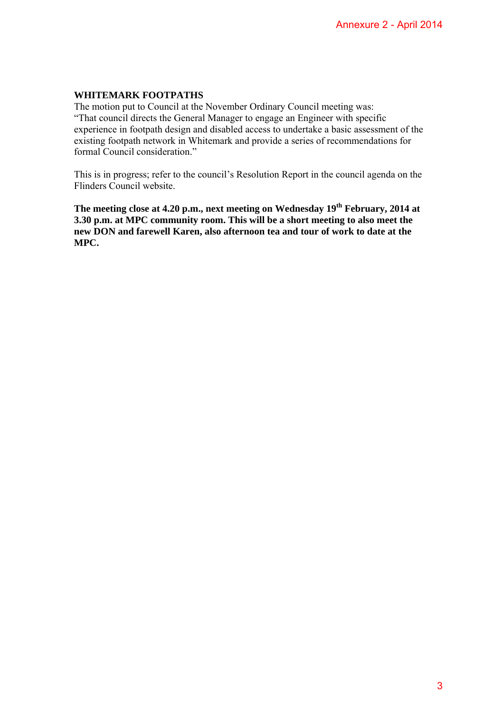### **WHITEMARK FOOTPATHS**

The motion put to Council at the November Ordinary Council meeting was: "That council directs the General Manager to engage an Engineer with specific experience in footpath design and disabled access to undertake a basic assessment of the existing footpath network in Whitemark and provide a series of recommendations for formal Council consideration." Annexure 2 - April 2014<br>
Eting was:<br>
with specific<br>
asic assessment of the<br>
commendations for<br>
council agenda on the<br>
the February, 2014 at<br>
may to also meet the<br>
work to date at the<br>
3

This is in progress; refer to the council's Resolution Report in the council agenda on the Flinders Council website.

**The meeting close at 4.20 p.m., next meeting on Wednesday 19th February, 2014 at 3.30 p.m. at MPC community room. This will be a short meeting to also meet the new DON and farewell Karen, also afternoon tea and tour of work to date at the MPC.**